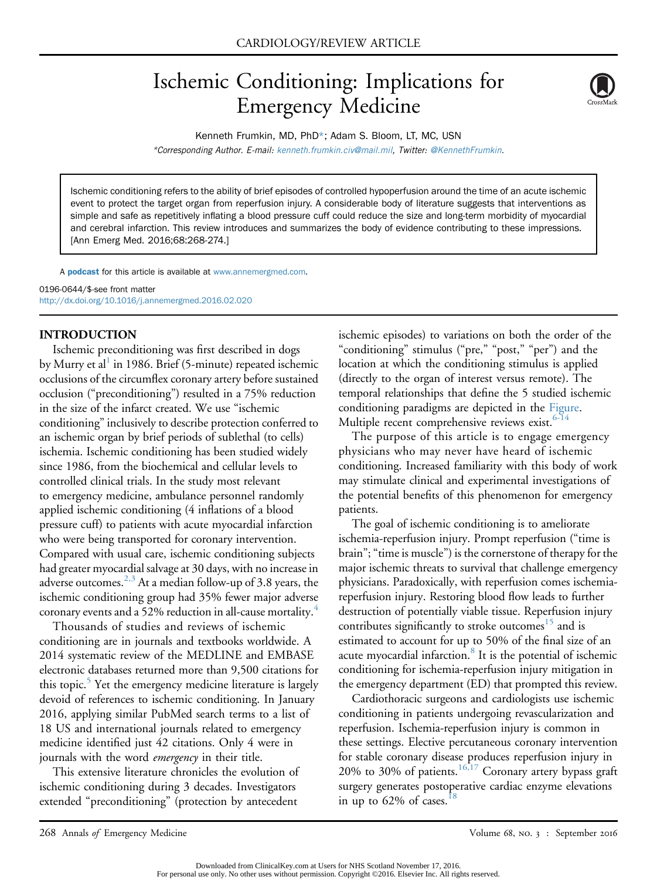# Ischemic Conditioning: Implications for Emergency Medicine



Kenneth Frumkin, MD, PhD\*; Adam S. Bloom, LT, MC, USN \*Corresponding Author. E-mail: [kenneth.frumkin.civ@mail.mil](mailto:kenneth.frumkin.civ@mail.mil), Twitter: [@KennethFrumkin.](mailto:@KennethFrumkin)

Ischemic conditioning refers to the ability of brief episodes of controlled hypoperfusion around the time of an acute ischemic event to protect the target organ from reperfusion injury. A considerable body of literature suggests that interventions as simple and safe as repetitively inflating a blood pressure cuff could reduce the size and long-term morbidity of myocardial and cerebral infarction. This review introduces and summarizes the body of evidence contributing to these impressions. [Ann Emerg Med. 2016;68:268-274.]

A **[podcast](http://annemergmed.com/content/podcast)** for this article is available at [www.annemergmed.com](http://www.annemergmed.com).

0196-0644/\$-see front matter <http://dx.doi.org/10.1016/j.annemergmed.2016.02.020>

## INTRODUCTION

Ischemic preconditioning was first described in dogs by Murry et al<sup>1</sup> in 1986. Brief (5-minute) repeated ischemic occlusions of the circumflex coronary artery before sustained occlusion ("preconditioning") resulted in a 75% reduction in the size of the infarct created. We use "ischemic conditioning" inclusively to describe protection conferred to an ischemic organ by brief periods of sublethal (to cells) ischemia. Ischemic conditioning has been studied widely since 1986, from the biochemical and cellular levels to controlled clinical trials. In the study most relevant to emergency medicine, ambulance personnel randomly applied ischemic conditioning (4 inflations of a blood pressure cuff) to patients with acute myocardial infarction who were being transported for coronary intervention. Compared with usual care, ischemic conditioning subjects had greater myocardial salvage at 30 days, with no increase in adverse outcomes.  $^{2,3}$  $^{2,3}$  $^{2,3}$  At a median follow-up of 3.8 years, the ischemic conditioning group had 35% fewer major adverse coronary events and a 52% reduction in all-cause mortality[.4](#page-4-2)

Thousands of studies and reviews of ischemic conditioning are in journals and textbooks worldwide. A 2014 systematic review of the MEDLINE and EMBASE electronic databases returned more than 9,500 citations for this topic.<sup>[5](#page-4-3)</sup> Yet the emergency medicine literature is largely devoid of references to ischemic conditioning. In January 2016, applying similar PubMed search terms to a list of 18 US and international journals related to emergency medicine identified just 42 citations. Only 4 were in journals with the word *emergency* in their title.

This extensive literature chronicles the evolution of ischemic conditioning during 3 decades. Investigators extended "preconditioning" (protection by antecedent

ischemic episodes) to variations on both the order of the "conditioning" stimulus ("pre," "post," "per") and the location at which the conditioning stimulus is applied (directly to the organ of interest versus remote). The temporal relationships that define the 5 studied ischemic conditioning paradigms are depicted in the [Figure.](#page-1-0) Multiple recent comprehensive reviews exist.<sup>6-14</sup>

The purpose of this article is to engage emergency physicians who may never have heard of ischemic conditioning. Increased familiarity with this body of work may stimulate clinical and experimental investigations of the potential benefits of this phenomenon for emergency patients.

The goal of ischemic conditioning is to ameliorate ischemia-reperfusion injury. Prompt reperfusion ("time is brain"; "time is muscle") is the cornerstone of therapy for the major ischemic threats to survival that challenge emergency physicians. Paradoxically, with reperfusion comes ischemiareperfusion injury. Restoring blood flow leads to further destruction of potentially viable tissue. Reperfusion injury contributes significantly to stroke outcomes<sup>15</sup> and is estimated to account for up to 50% of the final size of an acute myocardial infarction.<sup>[8](#page-4-6)</sup> It is the potential of ischemic conditioning for ischemia-reperfusion injury mitigation in the emergency department (ED) that prompted this review.

Cardiothoracic surgeons and cardiologists use ischemic conditioning in patients undergoing revascularization and reperfusion. Ischemia-reperfusion injury is common in these settings. Elective percutaneous coronary intervention for stable coronary disease produces reperfusion injury in 20% to 30% of patients.<sup>[16,17](#page-4-7)</sup> Coronary artery bypass graft surgery generates postoperative cardiac enzyme elevations in up to  $62\%$  of cases.<sup>[18](#page-4-8)</sup>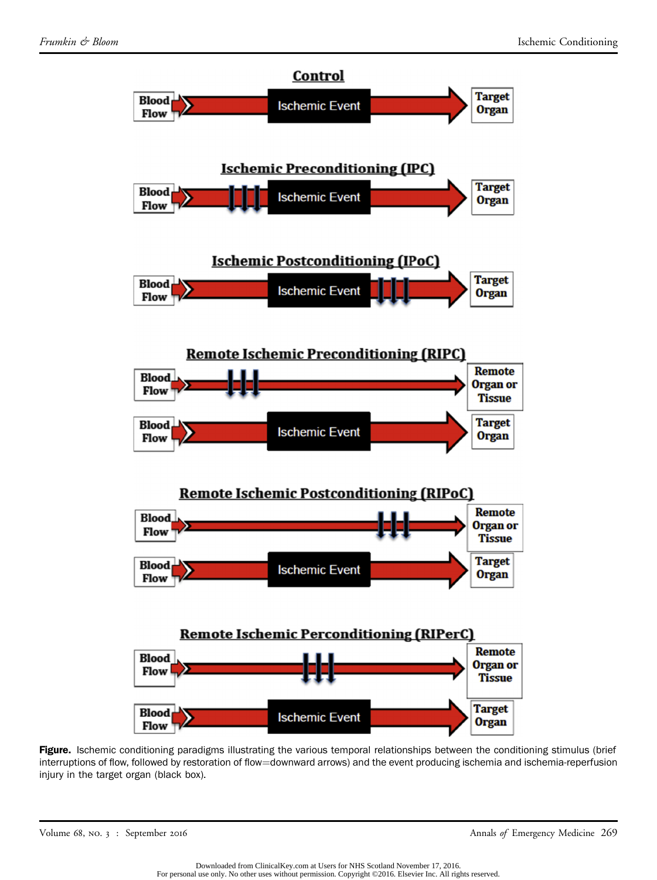<span id="page-1-0"></span>

Figure. Ischemic conditioning paradigms illustrating the various temporal relationships between the conditioning stimulus (brief interruptions of flow, followed by restoration of flow=downward arrows) and the event producing ischemia and ischemia-reperfusion injury in the target organ (black box).

Volume 68, no. 3 : September 2016 Annals of Emergency Medicine 269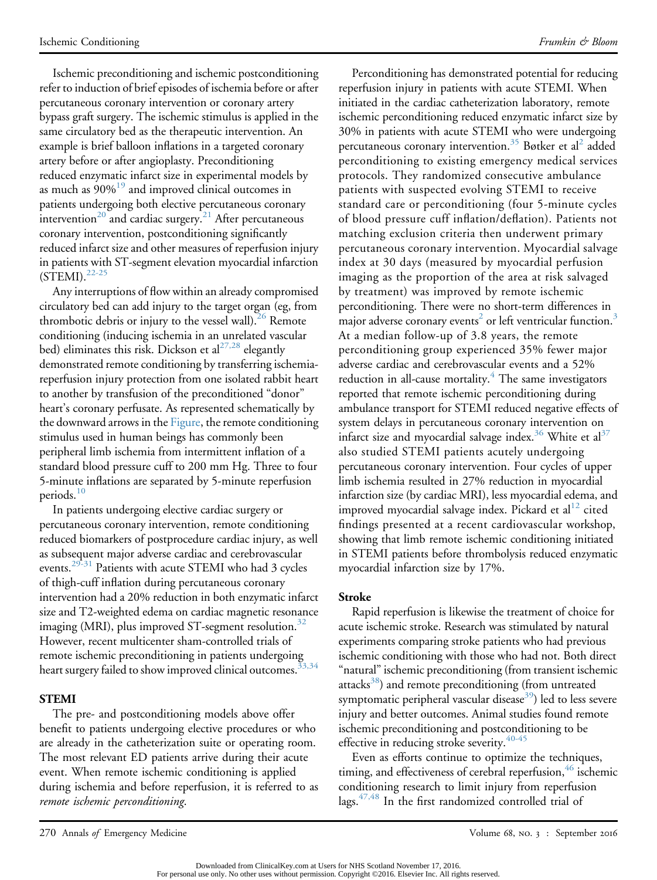Ischemic preconditioning and ischemic postconditioning refer to induction of brief episodes of ischemia before or after percutaneous coronary intervention or coronary artery bypass graft surgery. The ischemic stimulus is applied in the same circulatory bed as the therapeutic intervention. An example is brief balloon inflations in a targeted coronary artery before or after angioplasty. Preconditioning reduced enzymatic infarct size in experimental models by as much as 90%<sup>19</sup> and improved clinical outcomes in patients undergoing both elective percutaneous coronary intervention<sup>20</sup> and cardiac surgery.<sup>[21](#page-4-11)</sup> After percutaneous coronary intervention, postconditioning significantly reduced infarct size and other measures of reperfusion injury in patients with ST-segment elevation myocardial infarction  $(STEMI).^{22-25}$  $(STEMI).^{22-25}$  $(STEMI).^{22-25}$ 

Any interruptions of flow within an already compromised circulatory bed can add injury to the target organ (eg, from thrombotic debris or injury to the vessel wall).<sup>[26](#page-5-0)</sup> Remote conditioning (inducing ischemia in an unrelated vascular bed) eliminates this risk. Dickson et al $^{27,28}$  $^{27,28}$  $^{27,28}$  elegantly demonstrated remote conditioning by transferring ischemiareperfusion injury protection from one isolated rabbit heart to another by transfusion of the preconditioned "donor" heart's coronary perfusate. As represented schematically by the downward arrows in the [Figure](#page-1-0), the remote conditioning stimulus used in human beings has commonly been peripheral limb ischemia from intermittent inflation of a standard blood pressure cuff to 200 mm Hg. Three to four 5-minute inflations are separated by 5-minute reperfusion periods.<sup>10</sup>

In patients undergoing elective cardiac surgery or percutaneous coronary intervention, remote conditioning reduced biomarkers of postprocedure cardiac injury, as well as subsequent major adverse cardiac and cerebrovascular events.<sup>[29-31](#page-5-2)</sup> Patients with acute STEMI who had 3 cycles of thigh-cuff inflation during percutaneous coronary intervention had a 20% reduction in both enzymatic infarct size and T2-weighted edema on cardiac magnetic resonance imaging (MRI), plus improved ST-segment resolution.<sup>[32](#page-5-3)</sup> However, recent multicenter sham-controlled trials of remote ischemic preconditioning in patients undergoing heart surgery failed to show improved clinical outcomes.<sup>3</sup>

## STEMI

The pre- and postconditioning models above offer benefit to patients undergoing elective procedures or who are already in the catheterization suite or operating room. The most relevant ED patients arrive during their acute event. When remote ischemic conditioning is applied during ischemia and before reperfusion, it is referred to as remote ischemic perconditioning.

Perconditioning has demonstrated potential for reducing reperfusion injury in patients with acute STEMI. When initiated in the cardiac catheterization laboratory, remote ischemic perconditioning reduced enzymatic infarct size by 30% in patients with acute STEMI who were undergoing percutaneous coronary intervention.<sup>35</sup> Bøtker et al<sup>[2](#page-4-1)</sup> added perconditioning to existing emergency medical services protocols. They randomized consecutive ambulance patients with suspected evolving STEMI to receive standard care or perconditioning (four 5-minute cycles of blood pressure cuff inflation/deflation). Patients not matching exclusion criteria then underwent primary percutaneous coronary intervention. Myocardial salvage index at 30 days (measured by myocardial perfusion imaging as the proportion of the area at risk salvaged by treatment) was improved by remote ischemic perconditioning. There were no short-term differences in major adverse coronary events<sup>2</sup> or left ventricular function.<sup>[3](#page-4-14)</sup> At a median follow-up of 3.8 years, the remote perconditioning group experienced 35% fewer major adverse cardiac and cerebrovascular events and a 52% reduction in all-cause mortality. $4$  The same investigators reported that remote ischemic perconditioning during ambulance transport for STEMI reduced negative effects of system delays in percutaneous coronary intervention on infarct size and myocardial salvage index.<sup>[36](#page-5-6)</sup> White et al<sup>[37](#page-5-7)</sup> also studied STEMI patients acutely undergoing percutaneous coronary intervention. Four cycles of upper limb ischemia resulted in 27% reduction in myocardial infarction size (by cardiac MRI), less myocardial edema, and improved myocardial salvage index. Pickard et  $al<sup>12</sup>$  $al<sup>12</sup>$  $al<sup>12</sup>$  cited findings presented at a recent cardiovascular workshop, showing that limb remote ischemic conditioning initiated in STEMI patients before thrombolysis reduced enzymatic myocardial infarction size by 17%.

## Stroke

Rapid reperfusion is likewise the treatment of choice for acute ischemic stroke. Research was stimulated by natural experiments comparing stroke patients who had previous ischemic conditioning with those who had not. Both direct "natural" ischemic preconditioning (from transient ischemic attacks<sup>[38](#page-5-8)</sup>) and remote preconditioning (from untreated symptomatic peripheral vascular disease<sup>[39](#page-5-9)</sup>) led to less severe injury and better outcomes. Animal studies found remote ischemic preconditioning and postconditioning to be effective in reducing stroke severity.<sup>[40-45](#page-5-10)</sup>

Even as efforts continue to optimize the techniques, timing, and effectiveness of cerebral reperfusion,<sup>[46](#page-5-11)</sup> ischemic conditioning research to limit injury from reperfusion lags. $47,48$  In the first randomized controlled trial of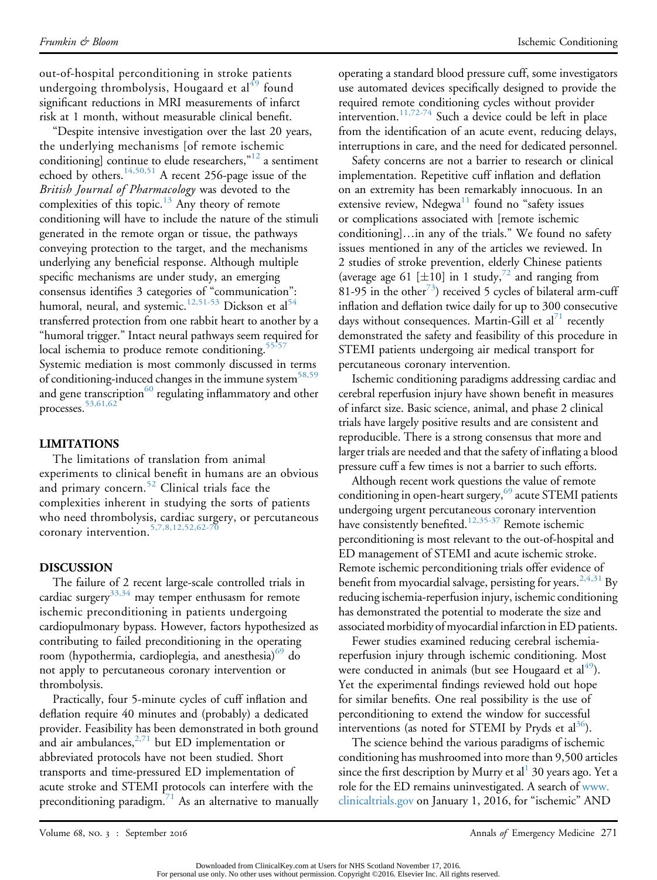out-of-hospital perconditioning in stroke patients undergoing thrombolysis, Hougaard et al<sup>[49](#page-5-13)</sup> found significant reductions in MRI measurements of infarct risk at 1 month, without measurable clinical benefit.

"Despite intensive investigation over the last 20 years, the underlying mechanisms [of remote ischemic conditioning] continue to elude researchers,"<sup>[12](#page-4-15)</sup> a sentiment echoed by others.<sup>[14,50,51](#page-4-16)</sup> A recent 256-page issue of the British Journal of Pharmacology was devoted to the complexities of this topic. $^{13}$  $^{13}$  $^{13}$  Any theory of remote conditioning will have to include the nature of the stimuli generated in the remote organ or tissue, the pathways conveying protection to the target, and the mechanisms underlying any beneficial response. Although multiple specific mechanisms are under study, an emerging consensus identifies 3 categories of "communication": humoral, neural, and systemic.<sup>[12,51-53](#page-4-15)</sup> Dickson et al<sup>[54](#page-5-14)</sup> transferred protection from one rabbit heart to another by a "humoral trigger." Intact neural pathways seem required for local ischemia to produce remote conditioning. $55-57$ Systemic mediation is most commonly discussed in terms of conditioning-induced changes in the immune system<sup>[58,59](#page-5-16)</sup> and gene transcription $^{60}$  $^{60}$  $^{60}$  regulating inflammatory and other processes.[53,61,62](#page-5-18)

#### LIMITATIONS

The limitations of translation from animal experiments to clinical benefit in humans are an obvious and primary concern.<sup>[52](#page-5-19)</sup> Clinical trials face the complexities inherent in studying the sorts of patients who need thrombolysis, cardiac surgery, or percutaneous coronary intervention.<sup>[5,7,8,12,52,62-70](#page-4-3)</sup>

# DISCUSSION

The failure of 2 recent large-scale controlled trials in cardiac surgery<sup>[33,34](#page-5-4)</sup> may temper enthusasm for remote ischemic preconditioning in patients undergoing cardiopulmonary bypass. However, factors hypothesized as contributing to failed preconditioning in the operating room (hypothermia, cardioplegia, and anesthesia)<sup>[69](#page-6-0)</sup> do not apply to percutaneous coronary intervention or thrombolysis.

Practically, four 5-minute cycles of cuff inflation and deflation require 40 minutes and (probably) a dedicated provider. Feasibility has been demonstrated in both ground and air ambulances,  $2\frac{2}{1}$  but ED implementation or abbreviated protocols have not been studied. Short transports and time-pressured ED implementation of acute stroke and STEMI protocols can interfere with the preconditioning paradigm. $1/1$  As an alternative to manually operating a standard blood pressure cuff, some investigators use automated devices specifically designed to provide the required remote conditioning cycles without provider intervention.<sup>[11,72-74](#page-4-18)</sup> Such a device could be left in place from the identification of an acute event, reducing delays, interruptions in care, and the need for dedicated personnel.

Safety concerns are not a barrier to research or clinical implementation. Repetitive cuff inflation and deflation on an extremity has been remarkably innocuous. In an extensive review,  $N$ degwa $^{11}$  $^{11}$  $^{11}$  found no "safety issues or complications associated with [remote ischemic conditioning]...in any of the trials." We found no safety issues mentioned in any of the articles we reviewed. In 2 studies of stroke prevention, elderly Chinese patients (average age 61 [ $\pm$ 10] in 1 study,<sup>[72](#page-6-2)</sup> and ranging from 81-95 in the other<sup> $3$ </sup>) received 5 cycles of bilateral arm-cuff inflation and deflation twice daily for up to 300 consecutive days without consequences. Martin-Gill et  $al^{1}$  recently demonstrated the safety and feasibility of this procedure in STEMI patients undergoing air medical transport for percutaneous coronary intervention.

Ischemic conditioning paradigms addressing cardiac and cerebral reperfusion injury have shown benefit in measures of infarct size. Basic science, animal, and phase 2 clinical trials have largely positive results and are consistent and reproducible. There is a strong consensus that more and larger trials are needed and that the safety of inflating a blood pressure cuff a few times is not a barrier to such efforts.

Although recent work questions the value of remote conditioning in open-heart surgery,<sup>[69](#page-6-0)</sup> acute STEMI patients undergoing urgent percutaneous coronary intervention have consistently benefited.<sup>[12,35-37](#page-4-15)</sup> Remote ischemic perconditioning is most relevant to the out-of-hospital and ED management of STEMI and acute ischemic stroke. Remote ischemic perconditioning trials offer evidence of benefit from myocardial salvage, persisting for years.<sup>[2,4,31](#page-4-1)</sup> By reducing ischemia-reperfusion injury, ischemic conditioning has demonstrated the potential to moderate the size and associated morbidity of myocardial infarction in ED patients.

Fewer studies examined reducing cerebral ischemiareperfusion injury through ischemic conditioning. Most were conducted in animals (but see Hougaard et  $al<sup>49</sup>$ ). Yet the experimental findings reviewed hold out hope for similar benefits. One real possibility is the use of perconditioning to extend the window for successful interventions (as noted for STEMI by Pryds et  $al^{36}$  $al^{36}$  $al^{36}$ ).

The science behind the various paradigms of ischemic conditioning has mushroomed into more than 9,500 articles since the first description by Murry et al  $30$  years ago. Yet a role for the ED remains uninvestigated. A search of [www.](http://www.clinicaltrials.gov) [clinicaltrials.gov](http://www.clinicaltrials.gov) on January 1, 2016, for "ischemic" AND

Downloaded from ClinicalKey.com at Users for NHS Scotland November 17, 2016. For personal use only. No other uses without permission. Copyright ©2016. Elsevier Inc. All rights reserved.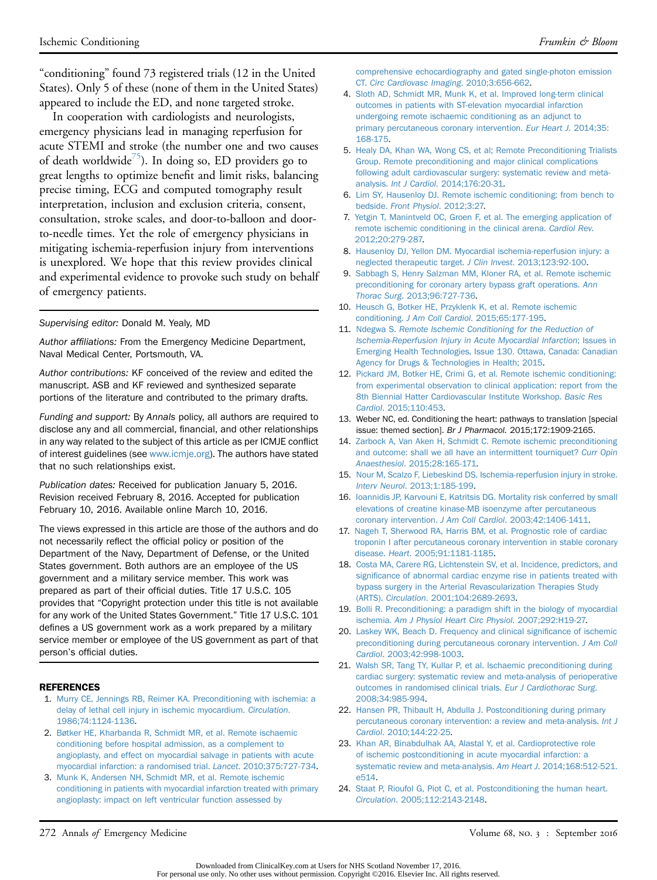"conditioning" found 73 registered trials (12 in the United States). Only 5 of these (none of them in the United States) appeared to include the ED, and none targeted stroke.

In cooperation with cardiologists and neurologists, emergency physicians lead in managing reperfusion for acute STEMI and stroke (the number one and two causes of death worldwide<sup> $\sigma$ </sup>). In doing so, ED providers go to great lengths to optimize benefit and limit risks, balancing precise timing, ECG and computed tomography result interpretation, inclusion and exclusion criteria, consent, consultation, stroke scales, and door-to-balloon and doorto-needle times. Yet the role of emergency physicians in mitigating ischemia-reperfusion injury from interventions is unexplored. We hope that this review provides clinical and experimental evidence to provoke such study on behalf of emergency patients.

#### Supervising editor: Donald M. Yealy, MD

Author affiliations: From the Emergency Medicine Department, Naval Medical Center, Portsmouth, VA.

Author contributions: KF conceived of the review and edited the manuscript. ASB and KF reviewed and synthesized separate portions of the literature and contributed to the primary drafts.

Funding and support: By Annals policy, all authors are required to disclose any and all commercial, financial, and other relationships in any way related to the subject of this article as per ICMJE conflict of interest guidelines (see [www.icmje.org\)](http://www.icmje.org/). The authors have stated that no such relationships exist.

Publication dates: Received for publication January 5, 2016. Revision received February 8, 2016. Accepted for publication February 10, 2016. Available online March 10, 2016.

The views expressed in this article are those of the authors and do not necessarily reflect the official policy or position of the Department of the Navy, Department of Defense, or the United States government. Both authors are an employee of the US government and a military service member. This work was prepared as part of their official duties. Title 17 U.S.C. 105 provides that "Copyright protection under this title is not available for any work of the United States Government." Title 17 U.S.C. 101 defines a US government work as a work prepared by a military service member or employee of the US government as part of that person's official duties.

#### <span id="page-4-0"></span>REFERENCES

- 1. [Murry CE, Jennings RB, Reimer KA. Preconditioning with ischemia: a](http://refhub.elsevier.com/S0196-0644(16)00124-4/sref1) [delay of lethal cell injury in ischemic myocardium.](http://refhub.elsevier.com/S0196-0644(16)00124-4/sref1) Circulation. [1986;74:1124-1136.](http://refhub.elsevier.com/S0196-0644(16)00124-4/sref1)
- <span id="page-4-1"></span>2. [Bøtker HE, Kharbanda R, Schmidt MR, et al. Remote ischaemic](http://refhub.elsevier.com/S0196-0644(16)00124-4/sref2) [conditioning before hospital admission, as a complement to](http://refhub.elsevier.com/S0196-0644(16)00124-4/sref2) [angioplasty, and effect on myocardial salvage in patients with acute](http://refhub.elsevier.com/S0196-0644(16)00124-4/sref2) [myocardial infarction: a randomised trial.](http://refhub.elsevier.com/S0196-0644(16)00124-4/sref2) Lancet. 2010;375:727-734.
- <span id="page-4-14"></span>3. [Munk K, Andersen NH, Schmidt MR, et al. Remote ischemic](http://refhub.elsevier.com/S0196-0644(16)00124-4/sref3) [conditioning in patients with myocardial infarction treated with primary](http://refhub.elsevier.com/S0196-0644(16)00124-4/sref3) [angioplasty: impact on left ventricular function assessed by](http://refhub.elsevier.com/S0196-0644(16)00124-4/sref3)

[comprehensive echocardiography and gated single-photon emission](http://refhub.elsevier.com/S0196-0644(16)00124-4/sref3) CT. [Circ Cardiovasc Imaging](http://refhub.elsevier.com/S0196-0644(16)00124-4/sref3). 2010;3:656-662.

- <span id="page-4-2"></span>4. [Sloth AD, Schmidt MR, Munk K, et al. Improved long-term clinical](http://refhub.elsevier.com/S0196-0644(16)00124-4/sref4) [outcomes in patients with ST-elevation myocardial infarction](http://refhub.elsevier.com/S0196-0644(16)00124-4/sref4) [undergoing remote ischaemic conditioning as an adjunct to](http://refhub.elsevier.com/S0196-0644(16)00124-4/sref4) [primary percutaneous coronary intervention.](http://refhub.elsevier.com/S0196-0644(16)00124-4/sref4) Eur Heart J. 2014;35: [168-175.](http://refhub.elsevier.com/S0196-0644(16)00124-4/sref4)
- <span id="page-4-3"></span>5. [Healy DA, Khan WA, Wong CS, et al; Remote Preconditioning Trialists](http://refhub.elsevier.com/S0196-0644(16)00124-4/sref5) [Group. Remote preconditioning and major clinical complications](http://refhub.elsevier.com/S0196-0644(16)00124-4/sref5) [following adult cardiovascular surgery: systematic review and meta](http://refhub.elsevier.com/S0196-0644(16)00124-4/sref5)analysis. Int J Cardiol[. 2014;176:20-31](http://refhub.elsevier.com/S0196-0644(16)00124-4/sref5).
- <span id="page-4-4"></span>6. [Lim SY, Hausenloy DJ. Remote ischemic conditioning: from bench to](http://refhub.elsevier.com/S0196-0644(16)00124-4/sref6) bedside. [Front Physiol](http://refhub.elsevier.com/S0196-0644(16)00124-4/sref6). 2012;3:27.
- 7. [Yetgin T, Manintveld OC, Groen F, et al. The emerging application of](http://refhub.elsevier.com/S0196-0644(16)00124-4/sref7) [remote ischemic conditioning in the clinical arena.](http://refhub.elsevier.com/S0196-0644(16)00124-4/sref7) Cardiol Rev. [2012;20:279-287.](http://refhub.elsevier.com/S0196-0644(16)00124-4/sref7)
- <span id="page-4-6"></span>8. [Hausenloy DJ, Yellon DM. Myocardial ischemia-reperfusion injury: a](http://refhub.elsevier.com/S0196-0644(16)00124-4/sref8) [neglected therapeutic target.](http://refhub.elsevier.com/S0196-0644(16)00124-4/sref8) J Clin Invest. 2013;123:92-100.
- 9. [Sabbagh S, Henry Salzman MM, Kloner RA, et al. Remote ischemic](http://refhub.elsevier.com/S0196-0644(16)00124-4/sref9) [preconditioning for coronary artery bypass graft operations.](http://refhub.elsevier.com/S0196-0644(16)00124-4/sref9) Ann Thorac Surg[. 2013;96:727-736](http://refhub.elsevier.com/S0196-0644(16)00124-4/sref9).
- <span id="page-4-13"></span>10. [Heusch G, Botker HE, Przyklenk K, et al. Remote ischemic](http://refhub.elsevier.com/S0196-0644(16)00124-4/sref10) conditioning. J Am Coll Cardiol[. 2015;65:177-195](http://refhub.elsevier.com/S0196-0644(16)00124-4/sref10).
- <span id="page-4-18"></span>11. Ndegwa S. [Remote Ischemic Conditioning for the Reduction of](http://refhub.elsevier.com/S0196-0644(16)00124-4/sref11) [Ischemia-Reperfusion Injury in Acute Myocardial Infarction](http://refhub.elsevier.com/S0196-0644(16)00124-4/sref11); Issues in [Emerging Health Technologies, Issue 130. Ottawa, Canada: Canadian](http://refhub.elsevier.com/S0196-0644(16)00124-4/sref11) [Agency for Drugs & Technologies in Health; 2015](http://refhub.elsevier.com/S0196-0644(16)00124-4/sref11).
- <span id="page-4-15"></span>12. [Pickard JM, Botker HE, Crimi G, et al. Remote ischemic conditioning:](http://refhub.elsevier.com/S0196-0644(16)00124-4/sref12) [from experimental observation to clinical application: report from the](http://refhub.elsevier.com/S0196-0644(16)00124-4/sref12) [8th Biennial Hatter Cardiovascular Institute Workshop.](http://refhub.elsevier.com/S0196-0644(16)00124-4/sref12) Basic Res Cardiol[. 2015;110:453.](http://refhub.elsevier.com/S0196-0644(16)00124-4/sref12)
- <span id="page-4-17"></span>13. Weber NC, ed. Conditioning the heart: pathways to translation [special issue: themed section]. Br J Pharmacol. 2015;172:1909-2165.
- <span id="page-4-16"></span>14. [Zarbock A, Van Aken H, Schmidt C. Remote ischemic preconditioning](http://refhub.elsevier.com/S0196-0644(16)00124-4/sref14) [and outcome: shall we all have an intermittent tourniquet?](http://refhub.elsevier.com/S0196-0644(16)00124-4/sref14) Curr Opin Anaesthesiol[. 2015;28:165-171](http://refhub.elsevier.com/S0196-0644(16)00124-4/sref14).
- <span id="page-4-5"></span>15. [Nour M, Scalzo F, Liebeskind DS. Ischemia-reperfusion injury in stroke.](http://refhub.elsevier.com/S0196-0644(16)00124-4/sref15) Interv Neurol[. 2013;1:185-199.](http://refhub.elsevier.com/S0196-0644(16)00124-4/sref15)
- <span id="page-4-7"></span>16. [Ioannidis JP, Karvouni E, Katritsis DG. Mortality risk conferred by small](http://refhub.elsevier.com/S0196-0644(16)00124-4/sref16) [elevations of creatine kinase-MB isoenzyme after percutaneous](http://refhub.elsevier.com/S0196-0644(16)00124-4/sref16) coronary intervention. J Am Coll Cardiol[. 2003;42:1406-1411.](http://refhub.elsevier.com/S0196-0644(16)00124-4/sref16)
- 17. [Nageh T, Sherwood RA, Harris BM, et al. Prognostic role of cardiac](http://refhub.elsevier.com/S0196-0644(16)00124-4/sref17) [troponin I after percutaneous coronary intervention in stable coronary](http://refhub.elsevier.com/S0196-0644(16)00124-4/sref17) disease. Heart[. 2005;91:1181-1185.](http://refhub.elsevier.com/S0196-0644(16)00124-4/sref17)
- <span id="page-4-8"></span>18. [Costa MA, Carere RG, Lichtenstein SV, et al. Incidence, predictors, and](http://refhub.elsevier.com/S0196-0644(16)00124-4/sref18) signifi[cance of abnormal cardiac enzyme rise in patients treated with](http://refhub.elsevier.com/S0196-0644(16)00124-4/sref18) [bypass surgery in the Arterial Revascularization Therapies Study](http://refhub.elsevier.com/S0196-0644(16)00124-4/sref18) (ARTS). Circulation[. 2001;104:2689-2693](http://refhub.elsevier.com/S0196-0644(16)00124-4/sref18).
- <span id="page-4-9"></span>19. [Bolli R. Preconditioning: a paradigm shift in the biology of myocardial](http://refhub.elsevier.com/S0196-0644(16)00124-4/sref19) ischemia. [Am J Physiol Heart Circ Physiol](http://refhub.elsevier.com/S0196-0644(16)00124-4/sref19). 2007;292:H19-27.
- <span id="page-4-10"></span>20. [Laskey WK, Beach D. Frequency and clinical signi](http://refhub.elsevier.com/S0196-0644(16)00124-4/sref20)ficance of ischemic [preconditioning during percutaneous coronary intervention.](http://refhub.elsevier.com/S0196-0644(16)00124-4/sref20) J Am Coll Cardiol[. 2003;42:998-1003](http://refhub.elsevier.com/S0196-0644(16)00124-4/sref20).
- <span id="page-4-11"></span>21. [Walsh SR, Tang TY, Kullar P, et al. Ischaemic preconditioning during](http://refhub.elsevier.com/S0196-0644(16)00124-4/sref21) [cardiac surgery: systematic review and meta-analysis of perioperative](http://refhub.elsevier.com/S0196-0644(16)00124-4/sref21) [outcomes in randomised clinical trials.](http://refhub.elsevier.com/S0196-0644(16)00124-4/sref21) Eur J Cardiothorac Surg. [2008;34:985-994.](http://refhub.elsevier.com/S0196-0644(16)00124-4/sref21)
- <span id="page-4-12"></span>22. [Hansen PR, Thibault H, Abdulla J. Postconditioning during primary](http://refhub.elsevier.com/S0196-0644(16)00124-4/sref22) [percutaneous coronary intervention: a review and meta-analysis.](http://refhub.elsevier.com/S0196-0644(16)00124-4/sref22) Int J Cardiol[. 2010;144:22-25](http://refhub.elsevier.com/S0196-0644(16)00124-4/sref22).
- 23. [Khan AR, Binabdulhak AA, Alastal Y, et al. Cardioprotective role](http://refhub.elsevier.com/S0196-0644(16)00124-4/sref23) [of ischemic postconditioning in acute myocardial infarction: a](http://refhub.elsevier.com/S0196-0644(16)00124-4/sref23) [systematic review and meta-analysis.](http://refhub.elsevier.com/S0196-0644(16)00124-4/sref23) Am Heart J. 2014;168:512-521. [e514](http://refhub.elsevier.com/S0196-0644(16)00124-4/sref23).
- 24. [Staat P, Rioufol G, Piot C, et al. Postconditioning the human heart.](http://refhub.elsevier.com/S0196-0644(16)00124-4/sref24) Circulation[. 2005;112:2143-2148.](http://refhub.elsevier.com/S0196-0644(16)00124-4/sref24)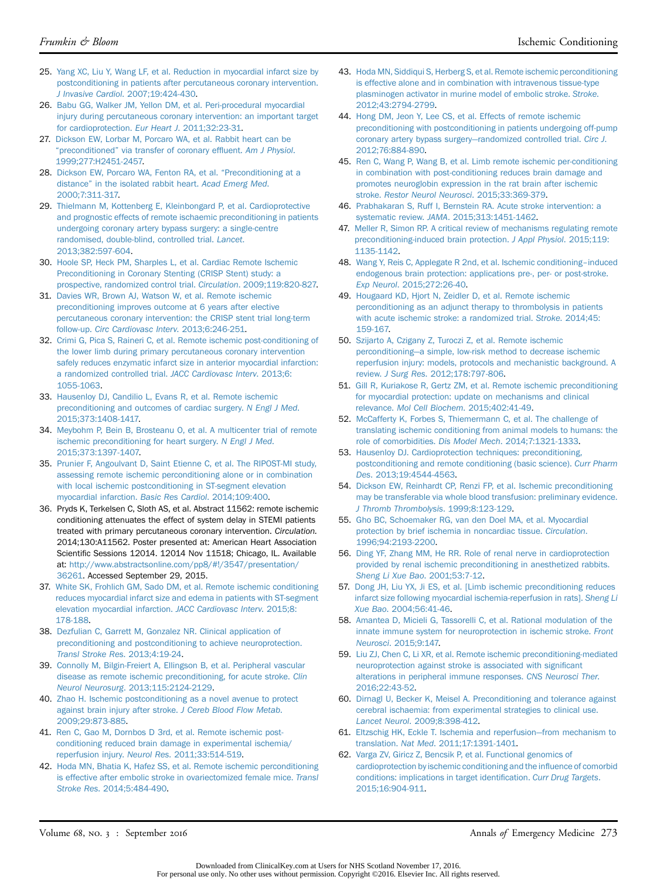- 25. [Yang XC, Liu Y, Wang LF, et al. Reduction in myocardial infarct size by](http://refhub.elsevier.com/S0196-0644(16)00124-4/sref25) [postconditioning in patients after percutaneous coronary intervention.](http://refhub.elsevier.com/S0196-0644(16)00124-4/sref25) J Invasive Cardiol[. 2007;19:424-430](http://refhub.elsevier.com/S0196-0644(16)00124-4/sref25).
- <span id="page-5-0"></span>26. [Babu GG, Walker JM, Yellon DM, et al. Peri-procedural myocardial](http://refhub.elsevier.com/S0196-0644(16)00124-4/sref26) [injury during percutaneous coronary intervention: an important target](http://refhub.elsevier.com/S0196-0644(16)00124-4/sref26) [for cardioprotection.](http://refhub.elsevier.com/S0196-0644(16)00124-4/sref26) Eur Heart J. 2011;32:23-31.
- <span id="page-5-1"></span>27. [Dickson EW, Lorbar M, Porcaro WA, et al. Rabbit heart can be](http://refhub.elsevier.com/S0196-0644(16)00124-4/sref27) "preconditioned" [via transfer of coronary ef](http://refhub.elsevier.com/S0196-0644(16)00124-4/sref27)fluent. Am J Physiol. [1999;277:H2451-2457.](http://refhub.elsevier.com/S0196-0644(16)00124-4/sref27)
- 28. [Dickson EW, Porcaro WA, Fenton RA, et al.](http://refhub.elsevier.com/S0196-0644(16)00124-4/sref28) "Preconditioning at a distance" [in the isolated rabbit heart.](http://refhub.elsevier.com/S0196-0644(16)00124-4/sref28) Acad Emerg Med. [2000;7:311-317.](http://refhub.elsevier.com/S0196-0644(16)00124-4/sref28)
- <span id="page-5-2"></span>29. [Thielmann M, Kottenberg E, Kleinbongard P, et al. Cardioprotective](http://refhub.elsevier.com/S0196-0644(16)00124-4/sref29) [and prognostic effects of remote ischaemic preconditioning in patients](http://refhub.elsevier.com/S0196-0644(16)00124-4/sref29) [undergoing coronary artery bypass surgery: a single-centre](http://refhub.elsevier.com/S0196-0644(16)00124-4/sref29) [randomised, double-blind, controlled trial.](http://refhub.elsevier.com/S0196-0644(16)00124-4/sref29) Lancet. [2013;382:597-604](http://refhub.elsevier.com/S0196-0644(16)00124-4/sref29).
- 30. [Hoole SP, Heck PM, Sharples L, et al. Cardiac Remote Ischemic](http://refhub.elsevier.com/S0196-0644(16)00124-4/sref30) [Preconditioning in Coronary Stenting \(CRISP Stent\) study: a](http://refhub.elsevier.com/S0196-0644(16)00124-4/sref30) [prospective, randomized control trial.](http://refhub.elsevier.com/S0196-0644(16)00124-4/sref30) Circulation. 2009;119:820-827.
- 31. [Davies WR, Brown AJ, Watson W, et al. Remote ischemic](http://refhub.elsevier.com/S0196-0644(16)00124-4/sref31) [preconditioning improves outcome at 6 years after elective](http://refhub.elsevier.com/S0196-0644(16)00124-4/sref31) [percutaneous coronary intervention: the CRISP stent trial long-term](http://refhub.elsevier.com/S0196-0644(16)00124-4/sref31) follow-up. [Circ Cardiovasc Interv](http://refhub.elsevier.com/S0196-0644(16)00124-4/sref31). 2013;6:246-251.
- <span id="page-5-3"></span>32. [Crimi G, Pica S, Raineri C, et al. Remote ischemic post-conditioning of](http://refhub.elsevier.com/S0196-0644(16)00124-4/sref32) [the lower limb during primary percutaneous coronary intervention](http://refhub.elsevier.com/S0196-0644(16)00124-4/sref32) [safely reduces enzymatic infarct size in anterior myocardial infarction:](http://refhub.elsevier.com/S0196-0644(16)00124-4/sref32) [a randomized controlled trial.](http://refhub.elsevier.com/S0196-0644(16)00124-4/sref32) JACC Cardiovasc Interv. 2013;6: [1055-1063](http://refhub.elsevier.com/S0196-0644(16)00124-4/sref32).
- <span id="page-5-4"></span>33. [Hausenloy DJ, Candilio L, Evans R, et al. Remote ischemic](http://refhub.elsevier.com/S0196-0644(16)00124-4/sref33) [preconditioning and outcomes of cardiac surgery.](http://refhub.elsevier.com/S0196-0644(16)00124-4/sref33) N Engl J Med. [2015;373:1408-1417.](http://refhub.elsevier.com/S0196-0644(16)00124-4/sref33)
- 34. [Meybohm P, Bein B, Brosteanu O, et al. A multicenter trial of remote](http://refhub.elsevier.com/S0196-0644(16)00124-4/sref34) [ischemic preconditioning for heart surgery.](http://refhub.elsevier.com/S0196-0644(16)00124-4/sref34) N Engl J Med. [2015;373:1397-1407.](http://refhub.elsevier.com/S0196-0644(16)00124-4/sref34)
- <span id="page-5-5"></span>35. [Prunier F, Angoulvant D, Saint Etienne C, et al. The RIPOST-MI study,](http://refhub.elsevier.com/S0196-0644(16)00124-4/sref35) [assessing remote ischemic perconditioning alone or in combination](http://refhub.elsevier.com/S0196-0644(16)00124-4/sref35) [with local ischemic postconditioning in ST-segment elevation](http://refhub.elsevier.com/S0196-0644(16)00124-4/sref35) [myocardial infarction.](http://refhub.elsevier.com/S0196-0644(16)00124-4/sref35) Basic Res Cardiol. 2014;109:400.
- <span id="page-5-6"></span>36. Pryds K, Terkelsen C, Sloth AS, et al. Abstract 11562: remote ischemic conditioning attenuates the effect of system delay in STEMI patients treated with primary percutaneous coronary intervention. Circulation. 2014;130:A11562. Poster presented at: American Heart Association Scientific Sessions 12014. 12014 Nov 11518; Chicago, IL. Available at: [http://www.abstractsonline.com/pp8/#!/3547/presentation/](http://www.abstractsonline.com/pp8/#!/3547/presentation/36261) [36261.](http://www.abstractsonline.com/pp8/#!/3547/presentation/36261) Accessed September 29, 2015.
- <span id="page-5-7"></span>37. [White SK, Frohlich GM, Sado DM, et al. Remote ischemic conditioning](http://refhub.elsevier.com/S0196-0644(16)00124-4/sref37) [reduces myocardial infarct size and edema in patients with ST-segment](http://refhub.elsevier.com/S0196-0644(16)00124-4/sref37) [elevation myocardial infarction.](http://refhub.elsevier.com/S0196-0644(16)00124-4/sref37) JACC Cardiovasc Interv. 2015;8: [178-188.](http://refhub.elsevier.com/S0196-0644(16)00124-4/sref37)
- <span id="page-5-8"></span>38. [Dezfulian C, Garrett M, Gonzalez NR. Clinical application of](http://refhub.elsevier.com/S0196-0644(16)00124-4/sref38) [preconditioning and postconditioning to achieve neuroprotection.](http://refhub.elsevier.com/S0196-0644(16)00124-4/sref38) [Transl Stroke Res](http://refhub.elsevier.com/S0196-0644(16)00124-4/sref38). 2013;4:19-24.
- <span id="page-5-9"></span>39. [Connolly M, Bilgin-Freiert A, Ellingson B, et al. Peripheral vascular](http://refhub.elsevier.com/S0196-0644(16)00124-4/sref39) [disease as remote ischemic preconditioning, for acute stroke.](http://refhub.elsevier.com/S0196-0644(16)00124-4/sref39) Clin Neurol Neurosurg[. 2013;115:2124-2129](http://refhub.elsevier.com/S0196-0644(16)00124-4/sref39).
- <span id="page-5-10"></span>40. [Zhao H. Ischemic postconditioning as a novel avenue to protect](http://refhub.elsevier.com/S0196-0644(16)00124-4/sref40) [against brain injury after stroke.](http://refhub.elsevier.com/S0196-0644(16)00124-4/sref40) J Cereb Blood Flow Metab. [2009;29:873-885](http://refhub.elsevier.com/S0196-0644(16)00124-4/sref40).
- 41. [Ren C, Gao M, Dornbos D 3rd, et al. Remote ischemic post](http://refhub.elsevier.com/S0196-0644(16)00124-4/sref41)[conditioning reduced brain damage in experimental ischemia/](http://refhub.elsevier.com/S0196-0644(16)00124-4/sref41) reperfusion injury. Neurol Res[. 2011;33:514-519](http://refhub.elsevier.com/S0196-0644(16)00124-4/sref41).
- 42. [Hoda MN, Bhatia K, Hafez SS, et al. Remote ischemic perconditioning](http://refhub.elsevier.com/S0196-0644(16)00124-4/sref42) [is effective after embolic stroke in ovariectomized female mice.](http://refhub.elsevier.com/S0196-0644(16)00124-4/sref42) Transl Stroke Res[. 2014;5:484-490](http://refhub.elsevier.com/S0196-0644(16)00124-4/sref42).
- 43. [Hoda MN, Siddiqui S, Herberg S, et al. Remote ischemic perconditioning](http://refhub.elsevier.com/S0196-0644(16)00124-4/sref43) [is effective alone and in combination with intravenous tissue-type](http://refhub.elsevier.com/S0196-0644(16)00124-4/sref43) [plasminogen activator in murine model of embolic stroke.](http://refhub.elsevier.com/S0196-0644(16)00124-4/sref43) Stroke. [2012;43:2794-2799](http://refhub.elsevier.com/S0196-0644(16)00124-4/sref43).
- 44. [Hong DM, Jeon Y, Lee CS, et al. Effects of remote ischemic](http://refhub.elsevier.com/S0196-0644(16)00124-4/sref44) [preconditioning with postconditioning in patients undergoing off-pump](http://refhub.elsevier.com/S0196-0644(16)00124-4/sref44) [coronary artery bypass surgery](http://refhub.elsevier.com/S0196-0644(16)00124-4/sref44)—[randomized controlled trial.](http://refhub.elsevier.com/S0196-0644(16)00124-4/sref44) Circ J. [2012;76:884-890](http://refhub.elsevier.com/S0196-0644(16)00124-4/sref44).
- 45. [Ren C, Wang P, Wang B, et al. Limb remote ischemic per-conditioning](http://refhub.elsevier.com/S0196-0644(16)00124-4/sref45) [in combination with post-conditioning reduces brain damage and](http://refhub.elsevier.com/S0196-0644(16)00124-4/sref45) [promotes neuroglobin expression in the rat brain after ischemic](http://refhub.elsevier.com/S0196-0644(16)00124-4/sref45) stroke. [Restor Neurol Neurosci](http://refhub.elsevier.com/S0196-0644(16)00124-4/sref45). 2015;33:369-379.
- <span id="page-5-11"></span>46. [Prabhakaran S, Ruff I, Bernstein RA. Acute stroke intervention: a](http://refhub.elsevier.com/S0196-0644(16)00124-4/sref46) systematic review. JAMA[. 2015;313:1451-1462](http://refhub.elsevier.com/S0196-0644(16)00124-4/sref46).
- <span id="page-5-12"></span>47. [Meller R, Simon RP. A critical review of mechanisms regulating remote](http://refhub.elsevier.com/S0196-0644(16)00124-4/sref47) [preconditioning-induced brain protection.](http://refhub.elsevier.com/S0196-0644(16)00124-4/sref47) J Appl Physiol. 2015;119: [1135-1142.](http://refhub.elsevier.com/S0196-0644(16)00124-4/sref47)
- 48. [Wang Y, Reis C, Applegate R 2nd, et al. Ischemic conditioning](http://refhub.elsevier.com/S0196-0644(16)00124-4/sref48)–[induced](http://refhub.elsevier.com/S0196-0644(16)00124-4/sref48) [endogenous brain protection: applications pre-, per- or post-stroke.](http://refhub.elsevier.com/S0196-0644(16)00124-4/sref48) Exp Neurol[. 2015;272:26-40.](http://refhub.elsevier.com/S0196-0644(16)00124-4/sref48)
- <span id="page-5-13"></span>49. [Hougaard KD, Hjort N, Zeidler D, et al. Remote ischemic](http://refhub.elsevier.com/S0196-0644(16)00124-4/sref49) [perconditioning as an adjunct therapy to thrombolysis in patients](http://refhub.elsevier.com/S0196-0644(16)00124-4/sref49) [with acute ischemic stroke: a randomized trial.](http://refhub.elsevier.com/S0196-0644(16)00124-4/sref49) Stroke. 2014;45: [159-167.](http://refhub.elsevier.com/S0196-0644(16)00124-4/sref49)
- 50. [Szijarto A, Czigany Z, Turoczi Z, et al. Remote ischemic](http://refhub.elsevier.com/S0196-0644(16)00124-4/sref50) [perconditioning](http://refhub.elsevier.com/S0196-0644(16)00124-4/sref50)—[a simple, low-risk method to decrease ischemic](http://refhub.elsevier.com/S0196-0644(16)00124-4/sref50) [reperfusion injury: models, protocols and mechanistic background. A](http://refhub.elsevier.com/S0196-0644(16)00124-4/sref50) review. J Surg Res[. 2012;178:797-806](http://refhub.elsevier.com/S0196-0644(16)00124-4/sref50).
- 51. [Gill R, Kuriakose R, Gertz ZM, et al. Remote ischemic preconditioning](http://refhub.elsevier.com/S0196-0644(16)00124-4/sref51) [for myocardial protection: update on mechanisms and clinical](http://refhub.elsevier.com/S0196-0644(16)00124-4/sref51) relevance. Mol Cell Biochem[. 2015;402:41-49](http://refhub.elsevier.com/S0196-0644(16)00124-4/sref51).
- <span id="page-5-19"></span>52. [McCafferty K, Forbes S, Thiemermann C, et al. The challenge of](http://refhub.elsevier.com/S0196-0644(16)00124-4/sref52) [translating ischemic conditioning from animal models to humans: the](http://refhub.elsevier.com/S0196-0644(16)00124-4/sref52) [role of comorbidities.](http://refhub.elsevier.com/S0196-0644(16)00124-4/sref52) Dis Model Mech. 2014;7:1321-1333.
- <span id="page-5-18"></span>53. [Hausenloy DJ. Cardioprotection techniques: preconditioning,](http://refhub.elsevier.com/S0196-0644(16)00124-4/sref53) [postconditioning and remote conditioning \(basic science\).](http://refhub.elsevier.com/S0196-0644(16)00124-4/sref53) Curr Pharm Des[. 2013;19:4544-4563](http://refhub.elsevier.com/S0196-0644(16)00124-4/sref53).
- <span id="page-5-14"></span>54. [Dickson EW, Reinhardt CP, Renzi FP, et al. Ischemic preconditioning](http://refhub.elsevier.com/S0196-0644(16)00124-4/sref54) [may be transferable via whole blood transfusion: preliminary evidence.](http://refhub.elsevier.com/S0196-0644(16)00124-4/sref54) [J Thromb Thrombolysis](http://refhub.elsevier.com/S0196-0644(16)00124-4/sref54). 1999;8:123-129.
- <span id="page-5-15"></span>55. [Gho BC, Schoemaker RG, van den Doel MA, et al. Myocardial](http://refhub.elsevier.com/S0196-0644(16)00124-4/sref55) [protection by brief ischemia in noncardiac tissue.](http://refhub.elsevier.com/S0196-0644(16)00124-4/sref55) Circulation. [1996;94:2193-2200.](http://refhub.elsevier.com/S0196-0644(16)00124-4/sref55)
- 56. [Ding YF, Zhang MM, He RR. Role of renal nerve in cardioprotection](http://refhub.elsevier.com/S0196-0644(16)00124-4/sref56) [provided by renal ischemic preconditioning in anesthetized rabbits.](http://refhub.elsevier.com/S0196-0644(16)00124-4/sref56) [Sheng Li Xue Bao](http://refhub.elsevier.com/S0196-0644(16)00124-4/sref56). 2001;53:7-12.
- 57. [Dong JH, Liu YX, Ji ES, et al. \[Limb ischemic preconditioning reduces](http://refhub.elsevier.com/S0196-0644(16)00124-4/sref57) [infarct size following myocardial ischemia-reperfusion in rats\].](http://refhub.elsevier.com/S0196-0644(16)00124-4/sref57) Sheng Li Xue Bao[. 2004;56:41-46.](http://refhub.elsevier.com/S0196-0644(16)00124-4/sref57)
- <span id="page-5-16"></span>58. [Amantea D, Micieli G, Tassorelli C, et al. Rational modulation of the](http://refhub.elsevier.com/S0196-0644(16)00124-4/sref58) [innate immune system for neuroprotection in ischemic stroke.](http://refhub.elsevier.com/S0196-0644(16)00124-4/sref58) Front Neurosci[. 2015;9:147.](http://refhub.elsevier.com/S0196-0644(16)00124-4/sref58)
- 59. [Liu ZJ, Chen C, Li XR, et al. Remote ischemic preconditioning-mediated](http://refhub.elsevier.com/S0196-0644(16)00124-4/sref59) [neuroprotection against stroke is associated with signi](http://refhub.elsevier.com/S0196-0644(16)00124-4/sref59)ficant [alterations in peripheral immune responses.](http://refhub.elsevier.com/S0196-0644(16)00124-4/sref59) CNS Neurosci Ther. [2016;22:43-52](http://refhub.elsevier.com/S0196-0644(16)00124-4/sref59).
- <span id="page-5-17"></span>60. [Dirnagl U, Becker K, Meisel A. Preconditioning and tolerance against](http://refhub.elsevier.com/S0196-0644(16)00124-4/sref60) [cerebral ischaemia: from experimental strategies to clinical use.](http://refhub.elsevier.com/S0196-0644(16)00124-4/sref60) Lancet Neurol[. 2009;8:398-412.](http://refhub.elsevier.com/S0196-0644(16)00124-4/sref60)
- 61. [Eltzschig HK, Eckle T. Ischemia and reperfusion](http://refhub.elsevier.com/S0196-0644(16)00124-4/sref61)—[from mechanism to](http://refhub.elsevier.com/S0196-0644(16)00124-4/sref61) translation. Nat Med[. 2011;17:1391-1401.](http://refhub.elsevier.com/S0196-0644(16)00124-4/sref61)
- 62. [Varga ZV, Giricz Z, Bencsik P, et al. Functional genomics of](http://refhub.elsevier.com/S0196-0644(16)00124-4/sref62) [cardioprotection by ischemic conditioning and the in](http://refhub.elsevier.com/S0196-0644(16)00124-4/sref62)fluence of comorbid [conditions: implications in target identi](http://refhub.elsevier.com/S0196-0644(16)00124-4/sref62)fication. Curr Drug Targets. [2015;16:904-911.](http://refhub.elsevier.com/S0196-0644(16)00124-4/sref62)